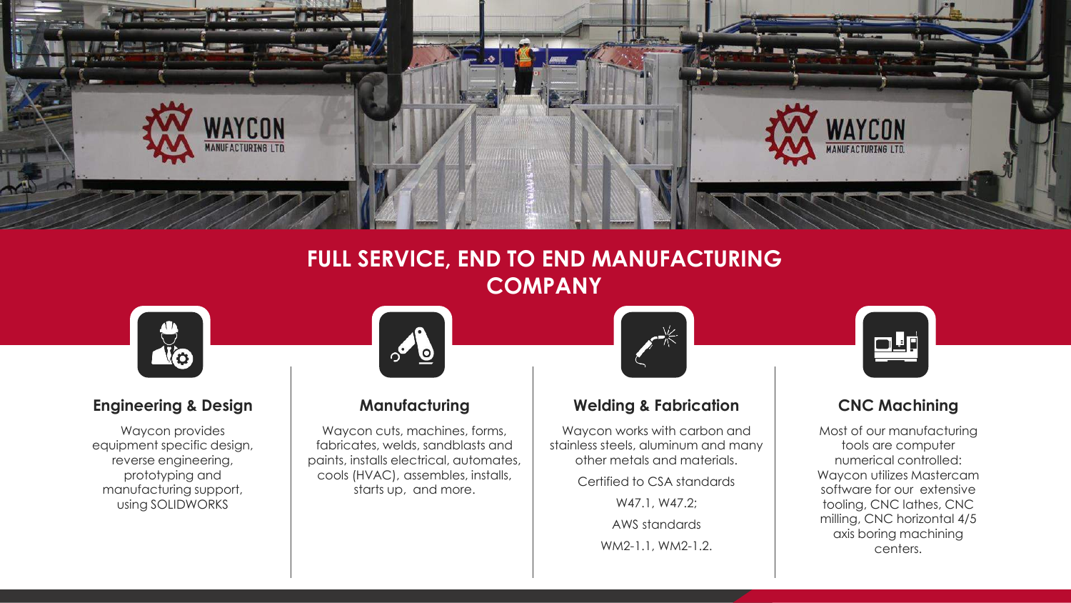

## **FULL SERVICE, END TO END MANUFACTURING COMPANY**



Waycon provides equipment specific design, reverse engineering, prototyping and manufacturing support, using SOLIDWORKS

Waycon cuts, machines, forms, fabricates, welds, sandblasts and paints, installs electrical, automates, cools (HVAC), assembles, installs, starts up, and more.



### **Engineering & Design Manufacturing Welding & Fabrication CNC Machining**

Waycon works with carbon and stainless steels, aluminum and many other metals and materials.

Certified to CSA standards

W47.1, W47.2; AWS standards

WM2-1.1, WM2-1.2.



Most of our manufacturing tools are computer numerical controlled: Waycon utilizes Mastercam software for our extensive tooling, CNC lathes, CNC milling, CNC horizontal 4/5 axis boring machining centers.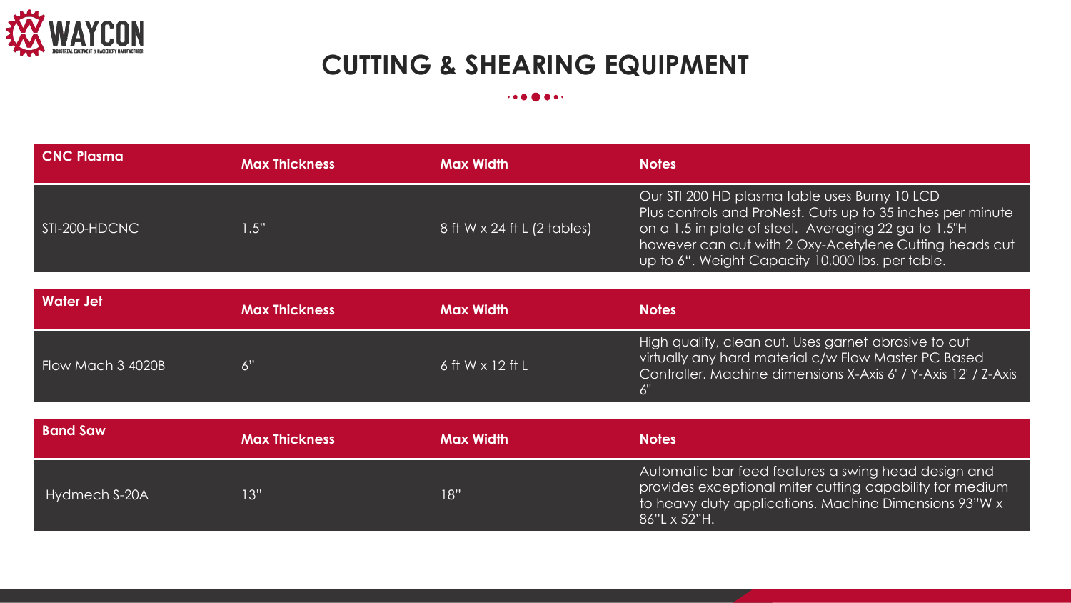

# **CUTTING & SHEARING EQUIPMENT**

### $\cdot \cdot \cdot \bullet \bullet \bullet \cdot \cdot$

| <b>CNC Plasma</b> | <b>Max Thickness</b> | <b>Max Width</b>            | <b>Notes</b>                                                                                                                                                                                                                                                                      |
|-------------------|----------------------|-----------------------------|-----------------------------------------------------------------------------------------------------------------------------------------------------------------------------------------------------------------------------------------------------------------------------------|
| STI-200-HDCNC     | 1.5"                 | 8 ft W x 24 ft L (2 tables) | Our STI 200 HD plasma table uses Burny 10 LCD<br>Plus controls and ProNest. Cuts up to 35 inches per minute<br>on a 1.5 in plate of steel. Averaging 22 ga to 1.5"H<br>however can cut with 2 Oxy-Acetylene Cutting heads cut<br>up to 6". Weight Capacity 10,000 lbs. per table. |
|                   |                      |                             |                                                                                                                                                                                                                                                                                   |
| <b>Water Jet</b>  | <b>Max Thickness</b> | <b>Max Width</b>            | <b>Notes</b>                                                                                                                                                                                                                                                                      |
| Flow Mach 3 4020B | 6"                   | 6 ft W x 12 ft L            | High quality, clean cut. Uses garnet abrasive to cut<br>virtually any hard material c/w Flow Master PC Based<br>Controller. Machine dimensions X-Axis 6' / Y-Axis 12' / Z-Axis<br>6"                                                                                              |
|                   |                      |                             |                                                                                                                                                                                                                                                                                   |
| <b>Band Saw</b>   | <b>Max Thickness</b> | <b>Max Width</b>            | <b>Notes</b>                                                                                                                                                                                                                                                                      |
| Hydmech S-20A     | 13"                  | 18"                         | Automatic bar feed features a swing head design and<br>provides exceptional miter cutting capability for medium<br>to heavy duty applications. Machine Dimensions 93"W x<br>86"L x 52"H.                                                                                          |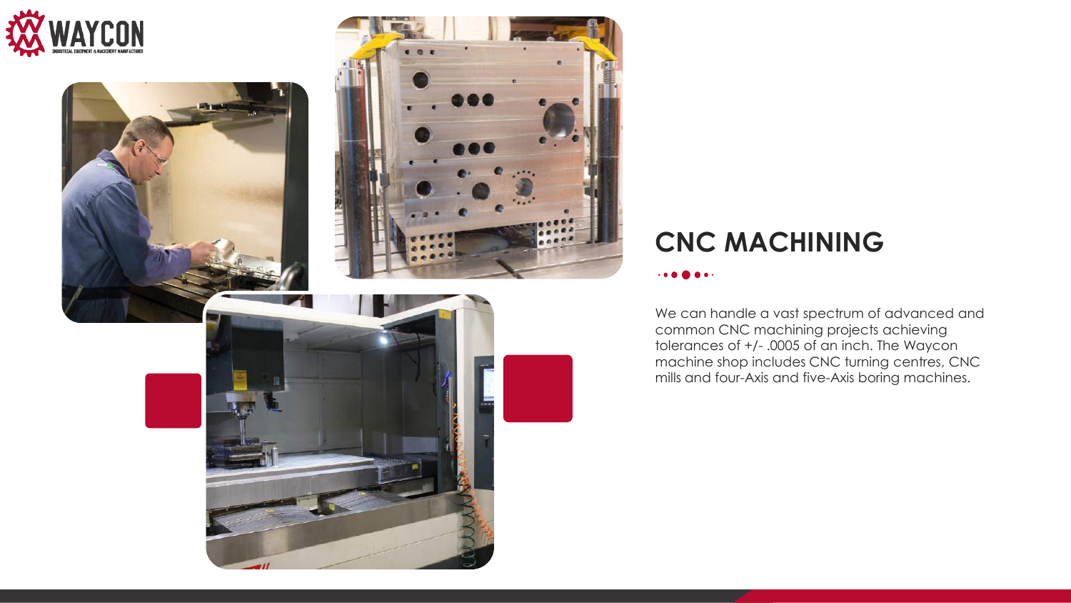



## **CNC MACHINING**

#### 

We can handle a vast spectrum of advanced and common CNC machining projects achieving tolerances of +/- .0005 of an inch. The Waycon machine shop includes CNC turning centres, CNC mills and four-Axis and five-Axis boring machines.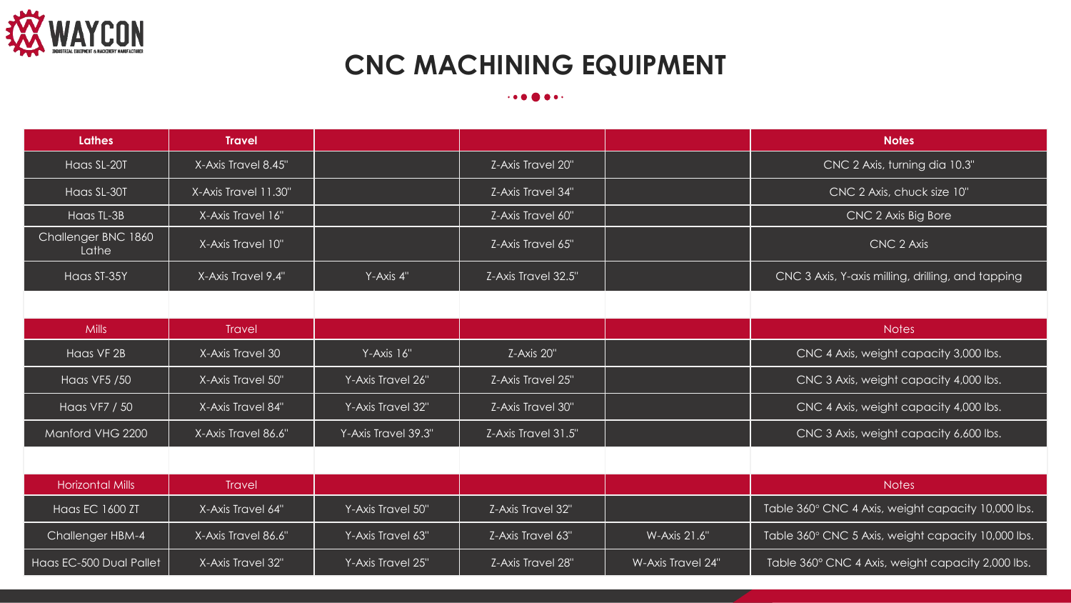

# **CNC MACHINING EQUIPMENT**

#### $\cdot \bullet \bullet \bullet \bullet \bullet \cdot$

| <b>Lathes</b>                | <b>Travel</b>        |                     |                     |              | <b>Notes</b>                                       |  |
|------------------------------|----------------------|---------------------|---------------------|--------------|----------------------------------------------------|--|
| Haas SL-20T                  | X-Axis Travel 8.45"  |                     | Z-Axis Travel 20"   |              | CNC 2 Axis, turning dia 10.3"                      |  |
| Haas SL-30T                  | X-Axis Travel 11.30" |                     | Z-Axis Travel 34"   |              | CNC 2 Axis, chuck size 10"                         |  |
| Haas TL-3B                   | X-Axis Travel 16"    |                     | Z-Axis Travel 60"   |              | CNC 2 Axis Big Bore                                |  |
| Challenger BNC 1860<br>Lathe | X-Axis Travel 10"    |                     | Z-Axis Travel 65"   |              | CNC 2 Axis                                         |  |
| Haas ST-35Y                  | X-Axis Travel 9.4"   | Y-Axis 4"           | Z-Axis Travel 32.5" |              | CNC 3 Axis, Y-axis milling, drilling, and tapping  |  |
|                              |                      |                     |                     |              |                                                    |  |
| <b>Mills</b>                 | <b>Travel</b>        |                     |                     |              | <b>Notes</b>                                       |  |
| Haas VF 2B                   | X-Axis Travel 30     | Y-Axis 16"          | Z-Axis 20"          |              | CNC 4 Axis, weight capacity 3,000 lbs.             |  |
| Haas VF5 / 50                | X-Axis Travel 50"    | Y-Axis Travel 26"   | Z-Axis Travel 25"   |              | CNC 3 Axis, weight capacity 4,000 lbs.             |  |
| Haas VF7 / 50                | X-Axis Travel 84"    | Y-Axis Travel 32"   | Z-Axis Travel 30"   |              | CNC 4 Axis, weight capacity 4,000 lbs.             |  |
| Manford VHG 2200             | X-Axis Travel 86.6"  | Y-Axis Travel 39.3" | Z-Axis Travel 31.5" |              | CNC 3 Axis, weight capacity 6,600 lbs.             |  |
|                              |                      |                     |                     |              |                                                    |  |
| <b>Horizontal Mills</b>      | <b>Travel</b>        |                     |                     |              | <b>Notes</b>                                       |  |
| Haas EC 1600 ZT              | X-Axis Travel 64"    | Y-Axis Travel 50"   | Z-Axis Travel 32"   |              | Table 360° CNC 4 Axis, weight capacity 10,000 lbs. |  |
| Challenger HBM-4             | X-Axis Travel 86.6"  | Y-Axis Travel 63"   | Z-Axis Travel 63"   | W-Axis 21.6" | Table 360° CNC 5 Axis, weight capacity 10,000 lbs. |  |

Haas EC-500 Dual Pallet | X-Axis Travel 32" | Y-Axis Travel 25" | Z-Axis Travel 28" | W-Axis Travel 24" | Table 360° CNC 4 Axis, weight capacity 2,000 lbs.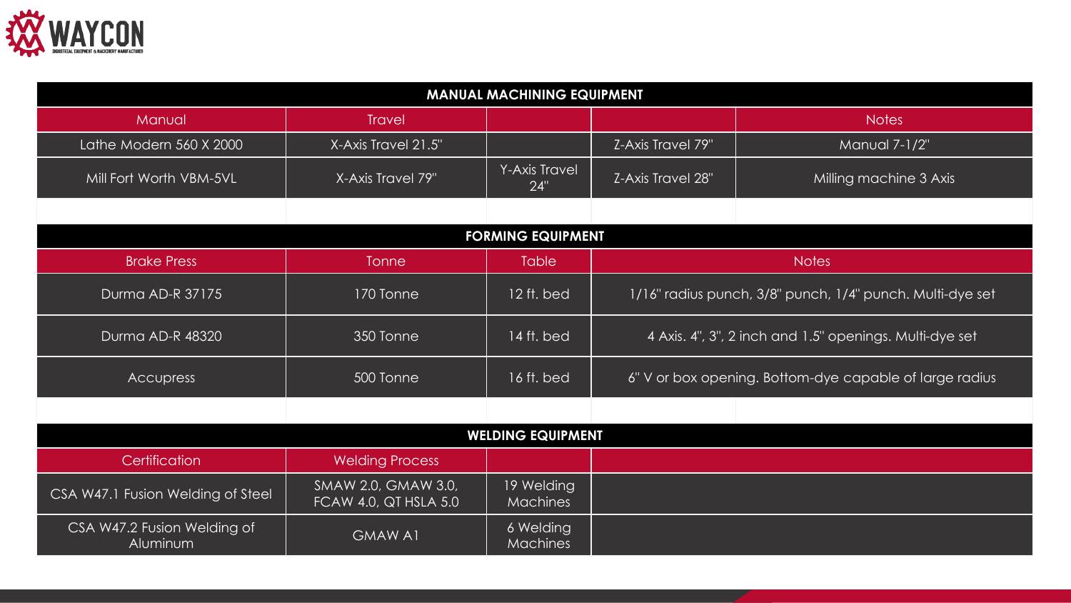

| <b>MANUAL MACHINING EQUIPMENT</b>       |                                                     |                              |                                                           |                        |  |  |
|-----------------------------------------|-----------------------------------------------------|------------------------------|-----------------------------------------------------------|------------------------|--|--|
| Manual                                  | <b>Travel</b>                                       |                              |                                                           | <b>Notes</b>           |  |  |
| Lathe Modern 560 X 2000                 | X-Axis Travel 21.5"                                 |                              | Z-Axis Travel 79"                                         | Manual 7-1/2"          |  |  |
| Mill Fort Worth VBM-5VL                 | X-Axis Travel 79"                                   | Y-Axis Travel<br>24"         | Z-Axis Travel 28"                                         | Milling machine 3 Axis |  |  |
|                                         |                                                     |                              |                                                           |                        |  |  |
|                                         |                                                     | <b>FORMING EQUIPMENT</b>     |                                                           |                        |  |  |
| <b>Brake Press</b>                      | <b>Tonne</b>                                        | <b>Table</b>                 | <b>Notes</b>                                              |                        |  |  |
| Durma AD-R 37175                        | 170 Tonne                                           | 12 ft. bed                   | 1/16" radius punch, 3/8" punch, 1/4" punch. Multi-dye set |                        |  |  |
| Durma AD-R 48320                        | 350 Tonne                                           | 14 ft. bed                   | 4 Axis. 4", 3", 2 inch and 1.5" openings. Multi-dye set   |                        |  |  |
| <b>Accupress</b>                        | 500 Tonne                                           | 16 ft. bed                   | 6" V or box opening. Bottom-dye capable of large radius   |                        |  |  |
|                                         |                                                     |                              |                                                           |                        |  |  |
| <b>WELDING EQUIPMENT</b>                |                                                     |                              |                                                           |                        |  |  |
| Certification                           | <b>Welding Process</b>                              |                              |                                                           |                        |  |  |
| CSA W47.1 Fusion Welding of Steel       | SMAW 2.0, GMAW 3.0,<br><b>FCAW 4.0, QT HSLA 5.0</b> | 19 Welding<br>Machines       |                                                           |                        |  |  |
| CSA W47.2 Fusion Welding of<br>Aluminum | <b>GMAW A1</b>                                      | 6 Welding<br><b>Machines</b> |                                                           |                        |  |  |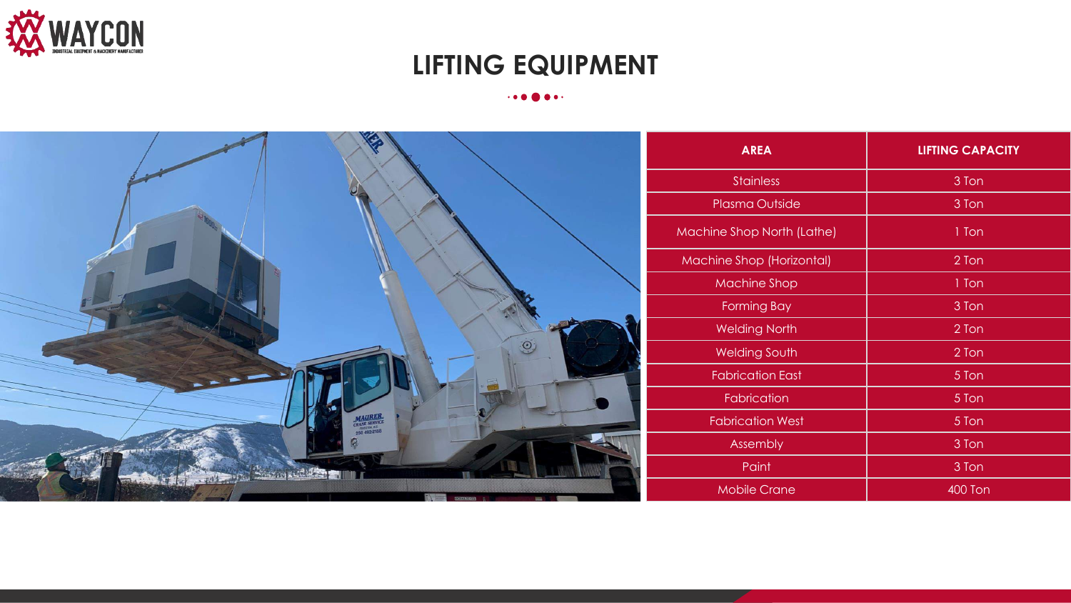

# **LIFTING EQUIPMENT**

### 

|                                                                                          | <b>AREA</b>                | <b>LIFTING CAPACITY</b> |
|------------------------------------------------------------------------------------------|----------------------------|-------------------------|
|                                                                                          | <b>Stainless</b>           | 3 Ton                   |
|                                                                                          | Plasma Outside             | 3 Ton                   |
|                                                                                          | Machine Shop North (Lathe) | 1 Ton                   |
|                                                                                          | Machine Shop (Horizontal)  | 2 Ton                   |
|                                                                                          | <b>Machine Shop</b>        | 1 Ton                   |
|                                                                                          | <b>Forming Bay</b>         | 3 Ton                   |
|                                                                                          | <b>Welding North</b>       | 2 Ton                   |
| $\odot$                                                                                  | Welding South              | 2 Ton                   |
|                                                                                          | <b>Fabrication East</b>    | 5 Ton                   |
|                                                                                          | Fabrication                | 5 Ton                   |
| $\frac{\text{MAURE} \text{ SERVICE}}{\text{CARINER} \text{ 2.5}}\\ 250\text{ 492-2188}}$ | <b>Fabrication West</b>    | 5 Ton                   |
|                                                                                          | Assembly                   | 3 Ton                   |
| <b>AND SEE WEIGHT ST</b>                                                                 | Paint                      | 3 Ton                   |
| į                                                                                        | <b>Mobile Crane</b>        | <b>400 Ton</b>          |